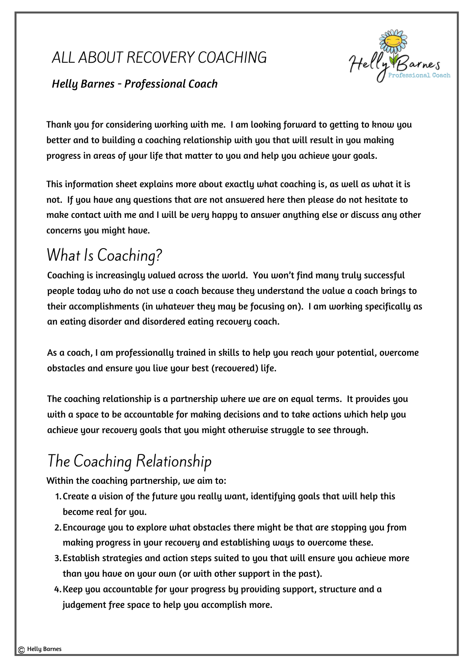

### *Helly Barnes - Professional Coach*

Thank you for considering working with me. I am looking forward to getting to know you better and to building a coaching relationship with you that will result in you making progress in areas of your life that matter to you and help you achieve your goals.

This information sheet explains more about exactly what coaching is, as well as what it is not. If you have any questions that are not answered here then please do not hesitate to make contact with me and I will be very happy to answer anything else or discuss any other concerns you might have.

# What Is Coaching?

Coaching is increasingly valued across the world. You won't find many truly successful people today who do not use a coach because they understand the value a coach brings to their accomplishments (in whatever they may be focusing on). I am working specifically as an eating disorder and disordered eating recovery coach.

As a coach, I am professionally trained in skills to help you reach your potential, overcome obstacles and ensure you live your best (recovered) life.

The coaching relationship is a partnership where we are on equal terms. It provides you with a space to be accountable for making decisions and to take actions which help you achieve your recovery goals that you might otherwise struggle to see through.

# The Coaching Relationship

Within the coaching partnership, we aim to:

- 1. Create a vision of the future you really want, identifying goals that will help this become real for you.
- Encourage you to explore what obstacles there might be that are stopping you from 2. making progress in your recovery and establishing ways to overcome these.
- Establish strategies and action steps suited to you that will ensure you achieve more 3. than you have on your own (or with other support in the past).
- 4. Keep you accountable for your progress by providing support, structure and a judgement free space to help you accomplish more.

Helly Barnes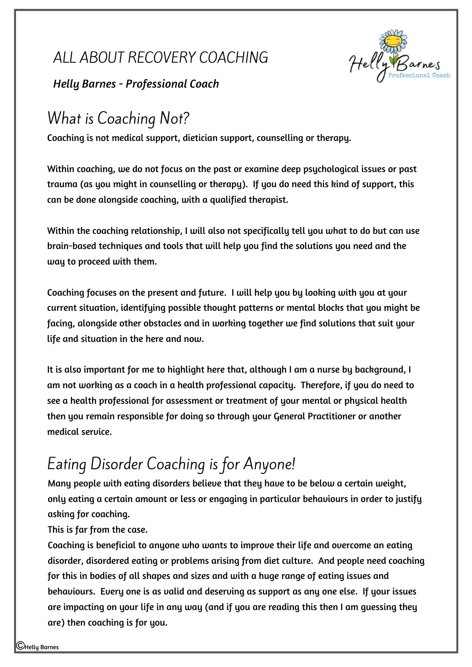

*Helly Barnes - Professional Coach*

# What is Coaching Not?

Coaching is not medical support, dietician support, counselling or therapy.

Within coaching, we do not focus on the past or examine deep psychological issues or past trauma (as you might in counselling or therapy). If you do need this kind of support, this can be done alongside coaching, with a qualified therapist.

Within the coaching relationship, I will also not specifically tell you what to do but can use brain-based techniques and tools that will help you find the solutions you need and the way to proceed with them.

Coaching focuses on the present and future. I will help you by looking with you at your current situation, identifying possible thought patterns or mental blocks that you might be facing, alongside other obstacles and in working together we find solutions that suit your life and situation in the here and now.

It is also important for me to highlight here that, although I am a nurse by background, I am not working as a coach in a health professional capacity. Therefore, if you do need to see a health professional for assessment or treatment of your mental or physical health then you remain responsible for doing so through your General Practitioner or another medical service.

# Eating Disorder Coaching is for Anyone!

Many people with eating disorders believe that they have to be below a certain weight, only eating a certain amount or less or engaging in particular behaviours in order to justify asking for coaching.

This is far from the case.

Coaching is beneficial to anyone who wants to improve their life and overcome an eating disorder, disordered eating or problems arising from diet culture. And people need coaching for this in bodies of all shapes and sizes and with a huge range of eating issues and behaviours. Every one is as valid and deserving as support as any one else. If your issues are impacting on your life in any way (and if you are reading this then I am guessing they are) then coaching is for you.

Helly Barnes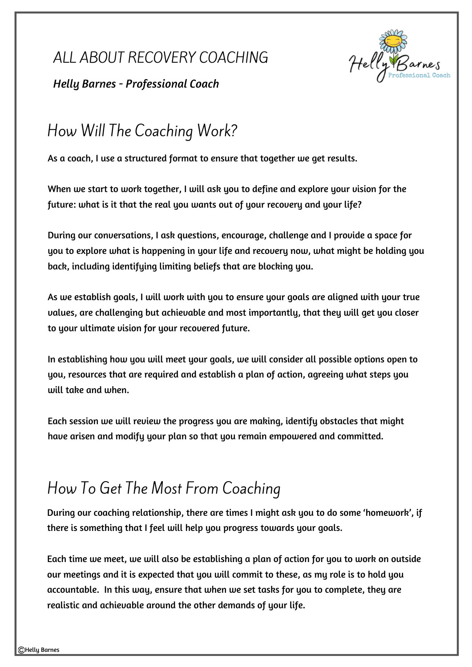

*Helly Barnes - Professional Coach*

## How Will The Coaching Work?

As a coach, I use a structured format to ensure that together we get results.

When we start to work together, I will ask you to define and explore your vision for the future: what is it that the real you wants out of your recovery and your life?

During our conversations, I ask questions, encourage, challenge and I provide a space for you to explore what is happening in your life and recovery now, what might be holding you back, including identifying limiting beliefs that are blocking you.

As we establish goals, I will work with you to ensure your goals are aligned with your true values, are challenging but achievable and most importantly, that they will get you closer to your ultimate vision for your recovered future.

In establishing how you will meet your goals, we will consider all possible options open to you, resources that are required and establish a plan of action, agreeing what steps you will take and when.

Each session we will review the progress you are making, identify obstacles that might have arisen and modify your plan so that you remain empowered and committed.

## How To Get The Most From Coaching

During our coaching relationship, there are times I might ask you to do some 'homework', if there is something that I feel will help you progress towards your goals.

Each time we meet, we will also be establishing a plan of action for you to work on outside our meetings and it is expected that you will commit to these, as my role is to hold you accountable. In this way, ensure that when we set tasks for you to complete, they are realistic and achievable around the other demands of your life.